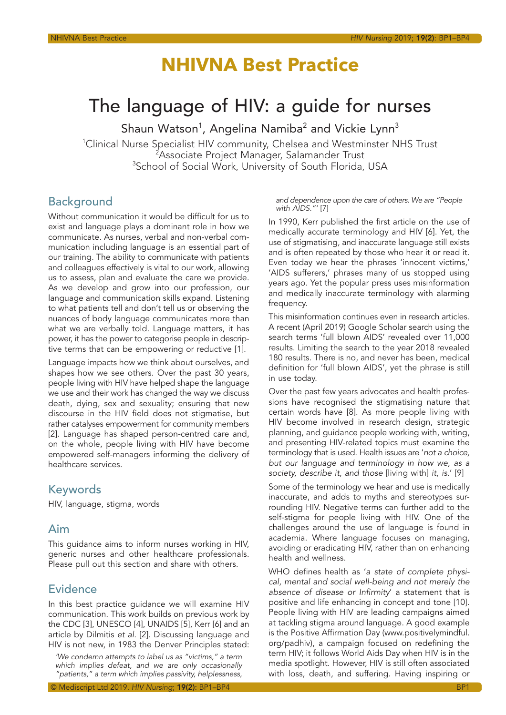# **NHIVNA Best Practice**

# The language of HIV: a guide for nurses

Shaun Watson $^1$ , Angelina Namiba $^2$  and Vickie Lynn $^3$ 

<sup>1</sup>Clinical Nurse Specialist HIV community, Chelsea and Westminster NHS Trust <sup>2</sup>Associate Project Manager, Salamander Trust <sup>3</sup>School of Social Work, University of South Florida, USA

# Background

Without communication it would be difficult for us to exist and language plays a dominant role in how we communicate. As nurses, verbal and non-verbal communication including language is an essential part of our training. The ability to communicate with patients and colleagues effectively is vital to our work, allowing us to assess, plan and evaluate the care we provide. As we develop and grow into our profession, our language and communication skills expand. Listening to what patients tell and don't tell us or observing the nuances of body language communicates more than what we are verbally told. Language matters, it has power, it has the power to categorise people in descriptive terms that can be empowering or reductive [1].

Language impacts how we think about ourselves, and shapes how we see others. Over the past 30 years, people living with HIV have helped shape the language we use and their work has changed the way we discuss death, dying, sex and sexuality; ensuring that new discourse in the HIV field does not stigmatise, but rather catalyses empowerment for community members [2]. Language has shaped person-centred care and, on the whole, people living with HIV have become empowered self-managers informing the delivery of healthcare services.

# Keywords

HIV, language, stigma, words

# Aim

This guidance aims to inform nurses working in HIV, generic nurses and other healthcare professionals. Please pull out this section and share with others.

# Evidence

In this best practice guidance we will examine HIV communication. This work builds on previous work by the CDC [3], UNESCO [4], UNAIDS [5], Kerr [6] and an article by Dilmitis *et al.* [2]. Discussing language and HIV is not new, in 1983 the Denver Principles stated:

*'We condemn attempts to label us as "victims," a term which implies defeat, and we are only occasionally "patients," a term which implies passivity, helplessness,* 

© Mediscript Ltd 2019. *HIV Nursing*; 19(2): BP1–BP4 BP1

*and dependence upon the care of others. We are "People with AIDS."'* [7]

In 1990, Kerr published the first article on the use of medically accurate terminology and HIV [6]. Yet, the use of stigmatising, and inaccurate language still exists and is often repeated by those who hear it or read it. Even today we hear the phrases 'innocent victims,' 'AIDS sufferers,' phrases many of us stopped using years ago. Yet the popular press uses misinformation and medically inaccurate terminology with alarming frequency.

This misinformation continues even in research articles. A recent (April 2019) Google Scholar search using the search terms 'full blown AIDS' revealed over 11,000 results. Limiting the search to the year 2018 revealed 180 results. There is no, and never has been, medical definition for 'full blown AIDS', yet the phrase is still in use today.

Over the past few years advocates and health professions have recognised the stigmatising nature that certain words have [8]. As more people living with HIV become involved in research design, strategic planning, and guidance people working with, writing, and presenting HIV-related topics must examine the terminology that is used. Health issues are '*not a choice, but our language and terminology in how we, as a society, describe it, and those* [living with] *it, is*.' [9]

Some of the terminology we hear and use is medically inaccurate, and adds to myths and stereotypes surrounding HIV. Negative terms can further add to the self-stigma for people living with HIV. One of the challenges around the use of language is found in academia. Where language focuses on managing, avoiding or eradicating HIV, rather than on enhancing health and wellness.

WHO defines health as '*a state of complete physical, mental and social well-being and not merely the absence of disease or Infirmity*' a statement that is positive and life enhancing in concept and tone [10]. People living with HIV are leading campaigns aimed at tackling stigma around language. A good example is the Positive Affirmation Day (www.positivelymindful. org/padhiv), a campaign focused on redefining the term HIV; it follows World Aids Day when HIV is in the media spotlight. However, HIV is still often associated with loss, death, and suffering. Having inspiring or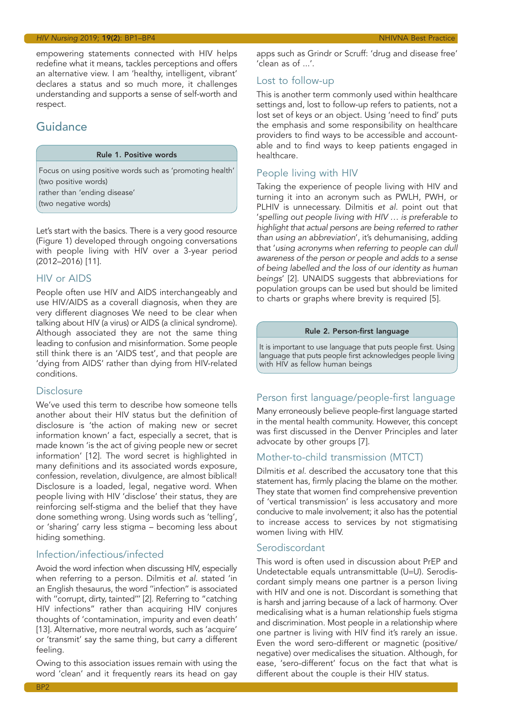#### *HIV Nursing* 2019; 19(2): BP1–BP4 NHIVNA Best Practice

empowering statements connected with HIV helps redefine what it means, tackles perceptions and offers an alternative view. I am 'healthy, intelligent, vibrant' declares a status and so much more, it challenges understanding and supports a sense of self-worth and respect.

# Guidance

#### Rule 1. Positive words

Focus on using positive words such as 'promoting health' (two positive words) rather than 'ending disease' (two negative words)

Let's start with the basics. There is a very good resource (Figure 1) developed through ongoing conversations with people living with HIV over a 3-year period (2012–2016) [11].

### HIV or AIDS

People often use HIV and AIDS interchangeably and use HIV/AIDS as a coverall diagnosis, when they are very different diagnoses We need to be clear when talking about HIV (a virus) or AIDS (a clinical syndrome). Although associated they are not the same thing leading to confusion and misinformation. Some people still think there is an 'AIDS test', and that people are 'dying from AIDS' rather than dying from HIV-related conditions.

### **Disclosure**

We've used this term to describe how someone tells another about their HIV status but the definition of disclosure is 'the action of making new or secret information known' a fact, especially a secret, that is made known 'is the act of giving people new or secret information' [12]. The word secret is highlighted in many definitions and its associated words exposure, confession, revelation, divulgence, are almost biblical! Disclosure is a loaded, legal, negative word. When people living with HIV 'disclose' their status, they are reinforcing self-stigma and the belief that they have done something wrong. Using words such as 'telling', or 'sharing' carry less stigma – becoming less about hiding something.

## Infection/infectious/infected

Avoid the word infection when discussing HIV, especially when referring to a person. Dilmitis *et al.* stated 'in an English thesaurus, the word ''infection'' is associated with ''corrupt, dirty, tainted''' [2]. Referring to "catching HIV infections" rather than acquiring HIV conjures thoughts of 'contamination, impurity and even death' [13]. Alternative, more neutral words, such as 'acquire' or 'transmit' say the same thing, but carry a different feeling.

Owing to this association issues remain with using the word 'clean' and it frequently rears its head on gay

apps such as Grindr or Scruff: 'drug and disease free' 'clean as of ...'.

## Lost to follow-up

This is another term commonly used within healthcare settings and, lost to follow-up refers to patients, not a lost set of keys or an object. Using 'need to find' puts the emphasis and some responsibility on healthcare providers to find ways to be accessible and accountable and to find ways to keep patients engaged in healthcare.

## People living with HIV

Taking the experience of people living with HIV and turning it into an acronym such as PWLH, PWH, or PLHIV is unnecessary. Dilmitis *et al.* point out that '*spelling out people living with HIV … is preferable to highlight that actual persons are being referred to rather than using an abbreviation*', it's dehumanising, adding that '*using acronyms when referring to people can dull awareness of the person or people and adds to a sense of being labelled and the loss of our identity as human beings*' [2]. UNAIDS suggests that abbreviations for population groups can be used but should be limited to charts or graphs where brevity is required [5].

#### Rule 2. Person-first language

It is important to use language that puts people first. Using language that puts people first acknowledges people living with HIV as fellow human beings

## Person first language/people-first language

Many erroneously believe people-first language started in the mental health community. However, this concept was first discussed in the Denver Principles and later advocate by other groups [7].

## Mother-to-child transmission (MTCT)

Dilmitis *et al*. described the accusatory tone that this statement has, firmly placing the blame on the mother. They state that women find comprehensive prevention of 'vertical transmission' is less accusatory and more conducive to male involvement; it also has the potential to increase access to services by not stigmatising women living with HIV.

## Serodiscordant

This word is often used in discussion about PrEP and Undetectable equals untransmittable (U=U). Serodiscordant simply means one partner is a person living with HIV and one is not. Discordant is something that is harsh and jarring because of a lack of harmony. Over medicalising what is a human relationship fuels stigma and discrimination. Most people in a relationship where one partner is living with HIV find it's rarely an issue. Even the word sero-different or magnetic (positive/ negative) over medicalises the situation. Although, for ease, 'sero-different' focus on the fact that what is different about the couple is their HIV status.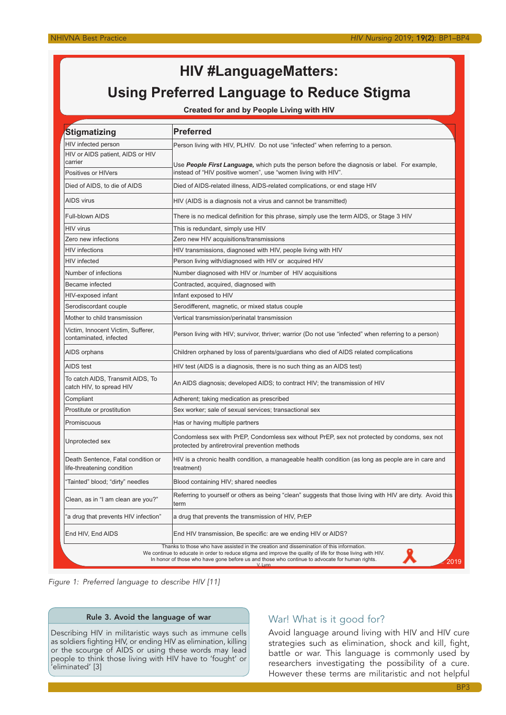# **HIV #LanguageMatters: Using Preferred Language to Reduce Stigma**

**Created for and by People Living with HIV**

| Stigmatizing                                                                                                                                                                                                                                                                                                                         | <b>Preferred</b>                                                                                                                                              |
|--------------------------------------------------------------------------------------------------------------------------------------------------------------------------------------------------------------------------------------------------------------------------------------------------------------------------------------|---------------------------------------------------------------------------------------------------------------------------------------------------------------|
| HIV infected person                                                                                                                                                                                                                                                                                                                  | Person living with HIV, PLHIV. Do not use "infected" when referring to a person.                                                                              |
| HIV or AIDS patient, AIDS or HIV                                                                                                                                                                                                                                                                                                     |                                                                                                                                                               |
| carrier                                                                                                                                                                                                                                                                                                                              | Use People First Language, which puts the person before the diagnosis or label. For example,<br>instead of "HIV positive women", use "women living with HIV". |
| Positives or HIVers<br>Died of AIDS, to die of AIDS                                                                                                                                                                                                                                                                                  | Died of AIDS-related illness, AIDS-related complications, or end stage HIV                                                                                    |
|                                                                                                                                                                                                                                                                                                                                      |                                                                                                                                                               |
| <b>AIDS virus</b>                                                                                                                                                                                                                                                                                                                    | HIV (AIDS is a diagnosis not a virus and cannot be transmitted)                                                                                               |
| Full-blown AIDS                                                                                                                                                                                                                                                                                                                      | There is no medical definition for this phrase, simply use the term AIDS, or Stage 3 HIV                                                                      |
| <b>HIV virus</b>                                                                                                                                                                                                                                                                                                                     | This is redundant, simply use HIV                                                                                                                             |
| Zero new infections                                                                                                                                                                                                                                                                                                                  | Zero new HIV acquisitions/transmissions                                                                                                                       |
| <b>HIV</b> infections                                                                                                                                                                                                                                                                                                                | HIV transmissions, diagnosed with HIV, people living with HIV                                                                                                 |
| <b>HIV</b> infected                                                                                                                                                                                                                                                                                                                  | Person living with/diagnosed with HIV or acquired HIV                                                                                                         |
| Number of infections                                                                                                                                                                                                                                                                                                                 | Number diagnosed with HIV or /number of HIV acquisitions                                                                                                      |
| Became infected                                                                                                                                                                                                                                                                                                                      | Contracted, acquired, diagnosed with                                                                                                                          |
| HIV-exposed infant                                                                                                                                                                                                                                                                                                                   | Infant exposed to HIV                                                                                                                                         |
| Serodiscordant couple                                                                                                                                                                                                                                                                                                                | Serodifferent, magnetic, or mixed status couple                                                                                                               |
| Mother to child transmission                                                                                                                                                                                                                                                                                                         | Vertical transmission/perinatal transmission                                                                                                                  |
| Victim, Innocent Victim, Sufferer,<br>contaminated, infected                                                                                                                                                                                                                                                                         | Person living with HIV; survivor, thriver; warrior (Do not use "infected" when referring to a person)                                                         |
| AIDS orphans                                                                                                                                                                                                                                                                                                                         | Children orphaned by loss of parents/guardians who died of AIDS related complications                                                                         |
| AIDS test                                                                                                                                                                                                                                                                                                                            | HIV test (AIDS is a diagnosis, there is no such thing as an AIDS test)                                                                                        |
| To catch AIDS, Transmit AIDS, To<br>catch HIV, to spread HIV                                                                                                                                                                                                                                                                         | An AIDS diagnosis; developed AIDS; to contract HIV; the transmission of HIV                                                                                   |
| Compliant                                                                                                                                                                                                                                                                                                                            | Adherent; taking medication as prescribed                                                                                                                     |
| Prostitute or prostitution                                                                                                                                                                                                                                                                                                           | Sex worker; sale of sexual services; transactional sex                                                                                                        |
| Promiscuous                                                                                                                                                                                                                                                                                                                          | Has or having multiple partners                                                                                                                               |
| Unprotected sex                                                                                                                                                                                                                                                                                                                      | Condomless sex with PrEP, Condomless sex without PrEP, sex not protected by condoms, sex not<br>protected by antiretroviral prevention methods                |
| Death Sentence, Fatal condition or<br>life-threatening condition                                                                                                                                                                                                                                                                     | HIV is a chronic health condition, a manageable health condition (as long as people are in care and<br>treatment)                                             |
| 'Tainted" blood; "dirty" needles                                                                                                                                                                                                                                                                                                     | Blood containing HIV; shared needles                                                                                                                          |
| Clean, as in "I am clean are you?"                                                                                                                                                                                                                                                                                                   | Referring to yourself or others as being "clean" suggests that those living with HIV are dirty. Avoid this<br>term                                            |
| 'a drug that prevents HIV infection"                                                                                                                                                                                                                                                                                                 | a drug that prevents the transmission of HIV, PrEP                                                                                                            |
| End HIV, End AIDS                                                                                                                                                                                                                                                                                                                    | End HIV transmission, Be specific: are we ending HIV or AIDS?                                                                                                 |
| Thanks to those who have assisted in the creation and dissemination of this information.<br>We continue to educate in order to reduce stigma and improve the quality of life for those living with HIV.<br>In honor of those who have gone before us and those who continue to advocate for human rights.<br>2019<br>$V_{\perp}$ vnn |                                                                                                                                                               |

*Figure 1: Preferred language to describe HIV [11]*

### Rule 3. Avoid the language of war

Describing HIV in militaristic ways such as immune cells as soldiers fighting HIV, or ending HIV as elimination, killing or the scourge of AIDS or using these words may lead people to think those living with HIV have to 'fought' or 'eliminated' [3]

## War! What is it good for?

Avoid language around living with HIV and HIV cure strategies such as elimination, shock and kill, fight, battle or war. This language is commonly used by researchers investigating the possibility of a cure. However these terms are militaristic and not helpful